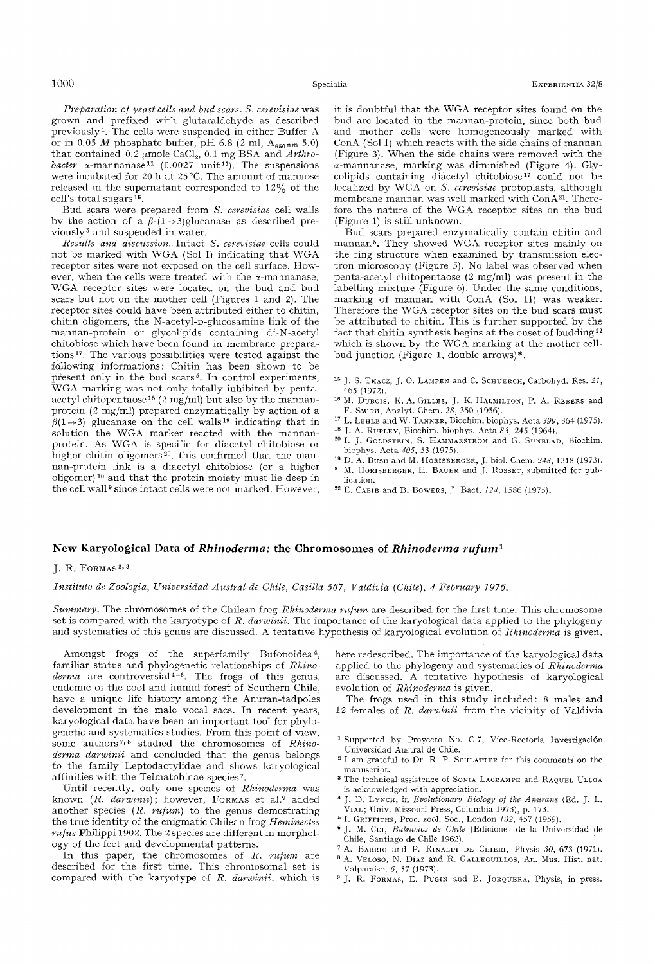*Preparation o/yeast cells and bud scars. S. cerevisiae* was grown and prefixed with glutaraldehyde as described previously 1. The cells were suspended in either Buffer A or in  $0.05 \text{ } M$  phosphate buffer, pH 6.8 (2 ml,  $A_{650\text{ nm}}$  5.0) that contained 0.2 μmole CaCl<sub>2</sub>, 0.1 mg BSA and *Arthrobacter*  $\alpha$ -mannanase<sup>11</sup> (0.0027 unit<sup>15</sup>). The suspensions were incubated for 20 h at  $25^{\circ}$ C. The amount of mannose released in the supernatant corresponded to 12% of the cell's total sugars $16$ .

Bud scars were prepared from *S. cerevisiae* cell walls by the action of a  $\beta$ -(1-+3)glucanase as described previously 5 and suspended in water.

*Results and discussion.* Intact *S. cerevisiae* cells could not be marked with WGA (Sol I) indicating that WGA receptor sites were not exposed on the cell surface. However, when the cells were treated with the  $\alpha$ -mannanase, ~VGA receptor sites were located on the bud and bud scars but not on the mother cell (Figures 1 and 2). The receptor sites could have been attributed either to chitin, chitin oligomers, the N-acetyl-D-glucosamine link of the mannan-protein or glycolipids containing di-N-acetyl chitobiose which have been found in membrane preparations<sup>17</sup>. The various possibilities were tested against the following informations: Chitin has been shown to be present only in the bud scars<sup>5</sup>. In control experiments, WGA marking was not only totally inhibited by pentaacetyl chitopentaose is (2 mg/ml) but also by the mannanprotein (2 mg/ml) prepared enzymatically by action of a  $\beta(1\rightarrow3)$  glucanase on the cell walls<sup>19</sup> indicating that in solution the WGA marker reacted with the mannanprotein. As WGA is specific for diacetyl chitobiose or higher chitin oligomers<sup>20</sup>, this confirmed that the mannan-protein Iink is a diacetyl chitobiose (or a higher  $oligomer)$ <sup>10</sup> and that the protein moiety must lie deep in the cell wall<sup>9</sup> since intact cells were not marked. However,

it is doubtful that the WGA receptor sites found on the bud are located in the mannan-protein, since both bud and mother cells were homogeneously marked with ConA (Sol I) which reacts with the side chains of mannan (Figure 3). When the side chains were removed with the ~-mannanase, marking was diminished (Figure 4). Glycolipids containing diacetyl chitobiose<sup>17</sup> could not be localized by WGA on *S. cerevisiae* protoplasts, although membrane mannan was well marked with ConA<sup>21</sup>. Therefore the nature of the WGA receptor sites on the bud (Figure 1) is still unknown.

Bud scars prepared enzymatically contain chitin and mannan 5. They showed WGK receptor sites mainly on the ring structure when examined by transmission electron microscopy (Figure 5). No label was observed when penta-acetyl chitopentaose (2 mg/ml) was present in the labelling mixture (Figure 6). Under the same conditions, marking of mannan with ConA (Sol II) was weaker. Therefore the WGA receptor sites on the bud scars must be attributed to chitin. This is further supported by the fact that chitin synthesis begins at the onset of budding  $22$ which is shown by the WGA marking at the mother cellbud junction (Figure 1, double arrows)\*.

- <sup>15</sup> J. S. TKACZ, J. O. LAMPEN and C. SCHUERCH, Carbohyd. Res. 21, 465 (1972).
- <sup>16</sup> M. DUBOIS, K. A. GILLES, J. K. HALMILTON, P. A. REBERS and **F.** SMITH, Analyt. Chem. 28, 350 (1956).
- 17 L. LEHLE and W. TANNER, Biochim. biophys. Acta *399,* 364 (1975).
- <sup>18</sup> J. A. RUPLEY, Biochim. biophys. Acta  $83$ , 245 (1964).
- <sup>20</sup> I. J. GOLDSTEIN, S. HAMMARSTRÖM and G. SUNBLAD, Biochim. biophys. Aeta *d05,* 53 (1975).
- <sup>19</sup> D. A. Bush and M. HORISBERGER, J. biol. Chem. 248, 1318 (1973). 2I M. HORISBERGER, H. BAUER and J. ROSSET, submitted for publication.
- <sup>22</sup> E. CABIB and B. Bowers, J. Bact.  $124$ , 1586 (1975).

## **New Karyological Data of** *Rhinoderma:* **the Chromosomes of** *Rhinoderma rufum ~*

## $I. R.$  FORMAS<sup>2, 3</sup>

*Instituto de Zoologia, Universidad Austral de Chile, Casilla 567, Valdivia (Chile), 4 February 1976.* 

*Summary.* The chromosomes of the Chilean frog *Rhinoderma ru/um* are described for the first time. This chromosome set is compared with the karyotype of *R. darwinii.* The importance of the karyological data applied to the phylogeny and systematics of this genus are discussed. A tentative hypothesis of karyological evolution of *Rhinoderma* is given.

Amongst frogs of the superfamily Bufonoidea<sup>4</sup>, familiar status and phylogenetic relationships of *Rhino*derma are controversial<sup>4-6</sup>. The frogs of this genus, endemic of the cool and humid forest of Southern Chile, have a unique life history among the Anuran-tadpoles development in the male vocal sacs. In recent years, karyological data have been an important tool for phylogenetic and systematics studies. From this point of view, some authors<sup>7,8</sup> studied the chromosomes of *Rhinoderma darwinii* and concluded that the genus belongs to the family Leptodactylidae and shows karyological affinities with the Telmatobinae species<sup>7</sup>.

Until recently, only one species of *Rhinoderma* was known (R. darwinii); however, FORMAS et al.<sup>9</sup> added another species *(R. ru/um)* to the genus demostrating the true identity of the enigmatic Chilean frog *Heminectes ru/us* Philippi 1902. The 2 species are different in morphology of the feet and developmental patterns.

In this paper, the chromosomes of *R. ru/um* are described for the first time. This chromosomal set is compared with the karyotype of R. *darwinii,* which is

here redescribed. The importance of the karyological data applied to the phylogeny and systematics of *Rhinoderma* are discussed. A tentative hypothesis of karyological evolution of *Rhinoderma* is given.

The frogs used in this study included: 8 males and 12 females of R. *darwinii* from the vicinity of Valdivia

- <sup>1</sup> Supported by Proyecto No. C-7, Vice-Rectoria Investigación Universidad Austral de Chile.
- $^{\rm 2}$  I am grateful to Dr. R. P. SCHLATTER for this comments on the manuscript.
- <sup>3</sup> The technical assistence of SONIA LACRAMPE and RAQUEL ULLOA is acknowledged with appreciation.
- <sup>4</sup> J. D. LYNCH, in *Evolutionary Biology of the Anurans* (Ed. J. L. VIAL; Univ. Missouri Press, Columbia 1973), p. 173.
- a I. GRIFFITHS, Proe. zool. Soe., London *132,* 457 (1959).
- 6 j. M. CEI, *Batrncios de Chile* (Ediciones de Ia Universidad de Chile, Santiago de Chile 1962).
- A. BARRIO and P. RINALDI DE CHIERI, Physis *30,* 673 (1971).
- s A. VELOSO, N. DIAz and R. GALLEGUILLOS, An. Mus. Hist. nat. Valparaiso. 6, 57 (1973).
- 9 j. R. FORMAS, E. *PUGIN* and B. JORQUERA, Physis, in press.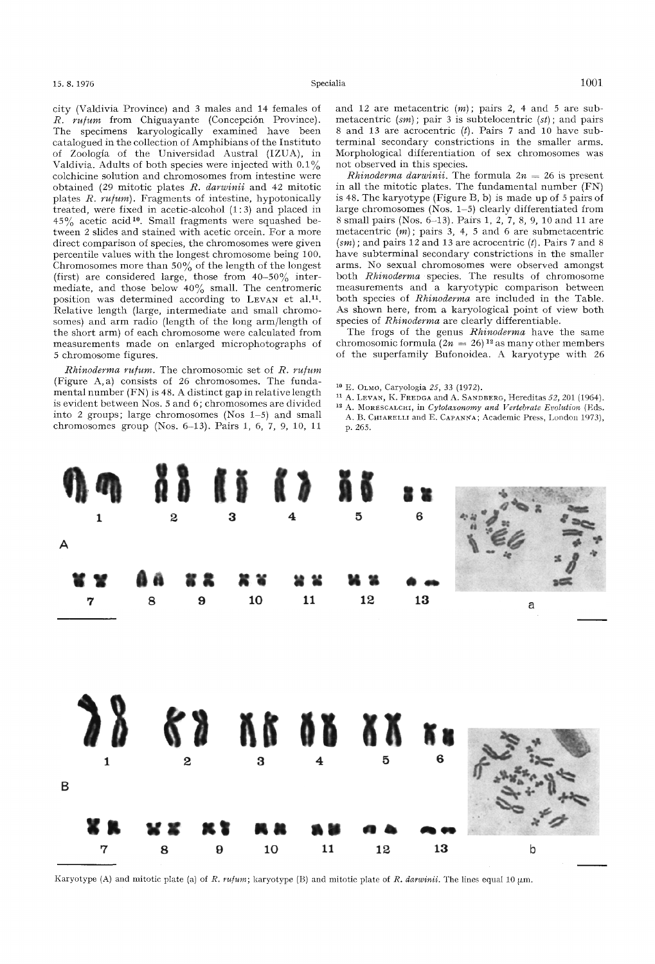city (Valdivia Province) and 3 males and 14 females of *R. ru/um* from Chiguayante (Concepcidn Province). The specimens karyologically examined have been catalogued in the collection of Amphibians of the Instituto of Zoologia of the Universidad Austral (IZUA), in Valdivia. Adults of both species were injected with  $0.1\%$ colchicine solution and chromosomes from intestine were obtained (29 mitotic plates /?. *darwinii* and 42 mitotic plates *R. ru/um).* Fragments of intestine, hypotonically treated, were fixed in acetic-alcohol (1:3) and placed in  $45\%$  acetic acid<sup>10</sup>. Small fragments were squashed between 2 slides and stained with acetic orcein. For a more direct comparison of species, the chromosomes were given percentile values with the longest chromosome being 100. Chromosomes more than 50% of the length of the longest (first) are considered large, those from  $40-50\%$  intermediate, and those below  $40\%$  small. The centromeric position was determined according to LEVAN et al.<sup>11</sup>. Relative length (large, intermediate and small chromosomes) and arm radio (length of the long arm/length of the short arm) of each chromosome were calculated from measurements made on enlarged microphotographs of 5 chromosome figures.

*]~hinoderma ru/um.* The chromosomic set of *R. ru/um*  (Figure A,a) consists of 26 chromosomes. The fundamental number (FN) is 48. A distinct gap in relative length is evident between Nos. 5 and 6 ; chromosomes are divided into 2 groups; large chromosomes (Nos  $1-5$ ) and small chromosomes group (Nos. 6-13). Pairs 1, 6, 7, 9, 10, 11

and 12 are metacentric *(m);* pairs 2, 4 and 5 are submetacentric *(sm)*; pair 3 is subtelocentric *(st)*; and pairs 8 and 13 are acrocentric  $(t)$ . Pairs 7 and 10 have subterminal secondary constrictions in the smaller arms. Morphological differentiation of sex chromosomes was not observed in this species.

*Rhinoderma darwinii.* The formula  $2n = 26$  is present in all the mitotic plates. The fundamental number (FN) is 48. The karyotype (Figure B, b) is made up of 5 pairs of large chromosomes (Nos. 1-5) clearly differentiated from 8 small pairs (Nos. 6-13). Pairs 1, 2, 7, 8, 9, 10 and 11 are metacentric  $(m)$ ; pairs 3, 4, 5 and 6 are submetacentric  $(sm)$ ; and pairs 12 and 13 are acrocentric  $(t)$ . Pairs 7 and 8 have subterminal secondary constrictions in the smaller arms. No sexual chromosomes were observed amongst both *Rhinoderma* species. The results of chromosome measurements and a karyotypic comparison between both species of *Rhinoderma* are included in the Table. As shown here, from a karyologieal point of view both species of *Rhinoderma* are clearly differentiable.

The frogs of the genus *Rhinoderma* have the same chromosomic formula  $(2n = 26)$ <sup>12</sup> as many other members of the superfamily Bufonoidea. A karyotype with 26

- 10 E. OLMO, Caryologia *25,* 33 (1972).
- 11 A. LEVAN, K. FREDGA and A. SANDBERG, Hereditas *52,* 201 (1964).
- 12 A. MORESCALCHI, in *Cytotaxonomy and Vertebrate Evolution* (Eds. A. B. CHIARELLI and E. CAPANNA; Academic Press, London 1973), p. 265.



Karyotype (A) and mitotic plate (a) of *R. ru/um*; karyotype (B) and mitotic plate of *R. darwinii*. The lines equal 10  $\mu$ m.